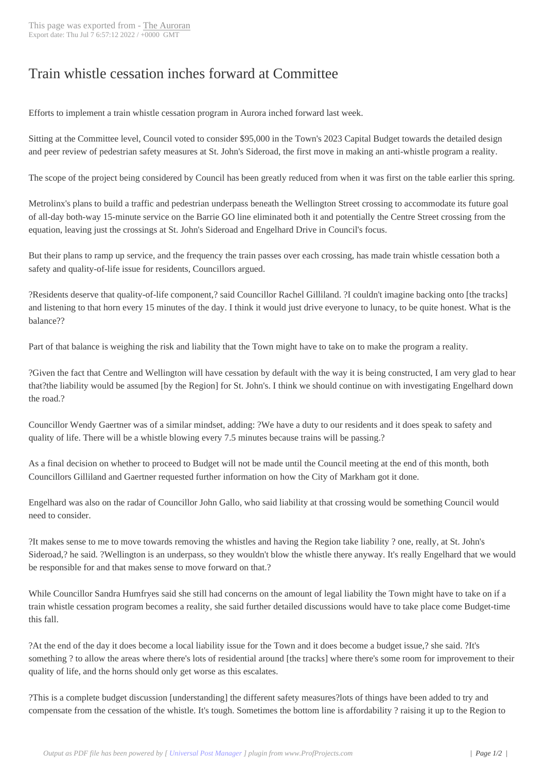## Train whistle cessa[tion inch](http://www.newspapers-online.com/auroran/?p=31263)es forward at Committee

Efforts to implement a train whistle cessation program in Aurora inched forward last week.

Sitting at the Committee level, Council voted to consider \$95,000 in the Town's 2023 Capital Budget towards the detailed design and peer review of pedestrian safety measures at St. John's Sideroad, the first move in making an anti-whistle program a reality.

The scope of the project being considered by Council has been greatly reduced from when it was first on the table earlier this spring.

Metrolinx's plans to build a traffic and pedestrian underpass beneath the Wellington Street crossing to accommodate its future goal of all-day both-way 15-minute service on the Barrie GO line eliminated both it and potentially the Centre Street crossing from the equation, leaving just the crossings at St. John's Sideroad and Engelhard Drive in Council's focus.

But their plans to ramp up service, and the frequency the train passes over each crossing, has made train whistle cessation both a safety and quality-of-life issue for residents, Councillors argued.

?Residents deserve that quality-of-life component,? said Councillor Rachel Gilliland. ?I couldn't imagine backing onto [the tracks] and listening to that horn every 15 minutes of the day. I think it would just drive everyone to lunacy, to be quite honest. What is the balance??

Part of that balance is weighing the risk and liability that the Town might have to take on to make the program a reality.

?Given the fact that Centre and Wellington will have cessation by default with the way it is being constructed, I am very glad to hear that?the liability would be assumed [by the Region] for St. John's. I think we should continue on with investigating Engelhard down the road.?

Councillor Wendy Gaertner was of a similar mindset, adding: ?We have a duty to our residents and it does speak to safety and quality of life. There will be a whistle blowing every 7.5 minutes because trains will be passing.?

As a final decision on whether to proceed to Budget will not be made until the Council meeting at the end of this month, both Councillors Gilliland and Gaertner requested further information on how the City of Markham got it done.

Engelhard was also on the radar of Councillor John Gallo, who said liability at that crossing would be something Council would need to consider.

?It makes sense to me to move towards removing the whistles and having the Region take liability ? one, really, at St. John's Sideroad,? he said. ?Wellington is an underpass, so they wouldn't blow the whistle there anyway. It's really Engelhard that we would be responsible for and that makes sense to move forward on that.?

While Councillor Sandra Humfryes said she still had concerns on the amount of legal liability the Town might have to take on if a train whistle cessation program becomes a reality, she said further detailed discussions would have to take place come Budget-time this fall.

?At the end of the day it does become a local liability issue for the Town and it does become a budget issue,? she said. ?It's something ? to allow the areas where there's lots of residential around [the tracks] where there's some room for improvement to their quality of life, and the horns should only get worse as this escalates.

?This is a complete budget discussion [understanding] the different safety measures?lots of things have been added to try and compensate from the cessation of the whistle. It's tough. Sometimes the bottom line is affordability ? raising it up to the Region to